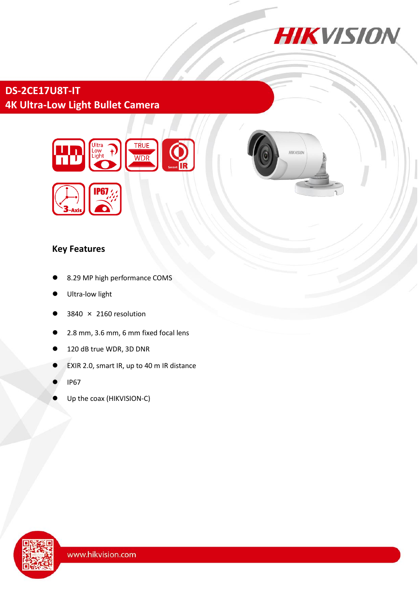

**HIKVISIN** 

# **DS-2CE17U8T-IT 4K Ultra-Low Light Bullet Camera**



### **Key Features**

- 8.29 MP high performance COMS
- Ultra-low light
- 3840 × 2160 resolution
- 2.8 mm, 3.6 mm, 6 mm fixed focal lens
- 120 dB true WDR, 3D DNR
- EXIR 2.0, smart IR, up to 40 m IR distance
- IP67
- Up the coax (HIKVISION-C)

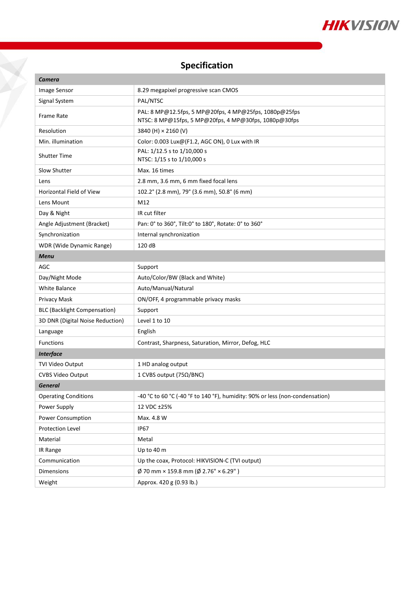

# **Specification**

X

| Camera                              |                                                                                                                 |
|-------------------------------------|-----------------------------------------------------------------------------------------------------------------|
| Image Sensor                        | 8.29 megapixel progressive scan CMOS                                                                            |
| Signal System                       | PAL/NTSC                                                                                                        |
| <b>Frame Rate</b>                   | PAL: 8 MP@12.5fps, 5 MP@20fps, 4 MP@25fps, 1080p@25fps<br>NTSC: 8 MP@15fps, 5 MP@20fps, 4 MP@30fps, 1080p@30fps |
| Resolution                          | 3840 (H) × 2160 (V)                                                                                             |
| Min. illumination                   | Color: 0.003 Lux@(F1.2, AGC ON), 0 Lux with IR                                                                  |
| <b>Shutter Time</b>                 | PAL: 1/12.5 s to 1/10,000 s<br>NTSC: 1/15 s to 1/10,000 s                                                       |
| Slow Shutter                        | Max. 16 times                                                                                                   |
| Lens                                | 2.8 mm, 3.6 mm, 6 mm fixed focal lens                                                                           |
| <b>Horizontal Field of View</b>     | 102.2° (2.8 mm), 79° (3.6 mm), 50.8° (6 mm)                                                                     |
| Lens Mount                          | M12                                                                                                             |
| Day & Night                         | IR cut filter                                                                                                   |
| Angle Adjustment (Bracket)          | Pan: 0° to 360°, Tilt:0° to 180°, Rotate: 0° to 360°                                                            |
| Synchronization                     | Internal synchronization                                                                                        |
| WDR (Wide Dynamic Range)            | 120 dB                                                                                                          |
| <b>Menu</b>                         |                                                                                                                 |
| <b>AGC</b>                          | Support                                                                                                         |
| Day/Night Mode                      | Auto/Color/BW (Black and White)                                                                                 |
| <b>White Balance</b>                | Auto/Manual/Natural                                                                                             |
| Privacy Mask                        | ON/OFF, 4 programmable privacy masks                                                                            |
| <b>BLC (Backlight Compensation)</b> | Support                                                                                                         |
| 3D DNR (Digital Noise Reduction)    | Level 1 to 10                                                                                                   |
| Language                            | English                                                                                                         |
| <b>Functions</b>                    | Contrast, Sharpness, Saturation, Mirror, Defog, HLC                                                             |
| <b>Interface</b>                    |                                                                                                                 |
| TVI Video Output                    | 1 HD analog output                                                                                              |
| CVBS Video Output                   | 1 CVBS output (75Ω/BNC)                                                                                         |
| <b>General</b>                      |                                                                                                                 |
| <b>Operating Conditions</b>         | -40 °C to 60 °C (-40 °F to 140 °F), humidity: 90% or less (non-condensation)                                    |
| Power Supply                        | 12 VDC ±25%                                                                                                     |
| <b>Power Consumption</b>            | Max. 4.8 W                                                                                                      |
| Protection Level                    | <b>IP67</b>                                                                                                     |
| Material                            | Metal                                                                                                           |
| IR Range                            | Up to 40 m                                                                                                      |
| Communication                       | Up the coax, Protocol: HIKVISION-C (TVI output)                                                                 |
| Dimensions                          | $\emptyset$ 70 mm × 159.8 mm ( $\emptyset$ 2.76" × 6.29")                                                       |
| Weight                              | Approx. 420 g (0.93 lb.)                                                                                        |